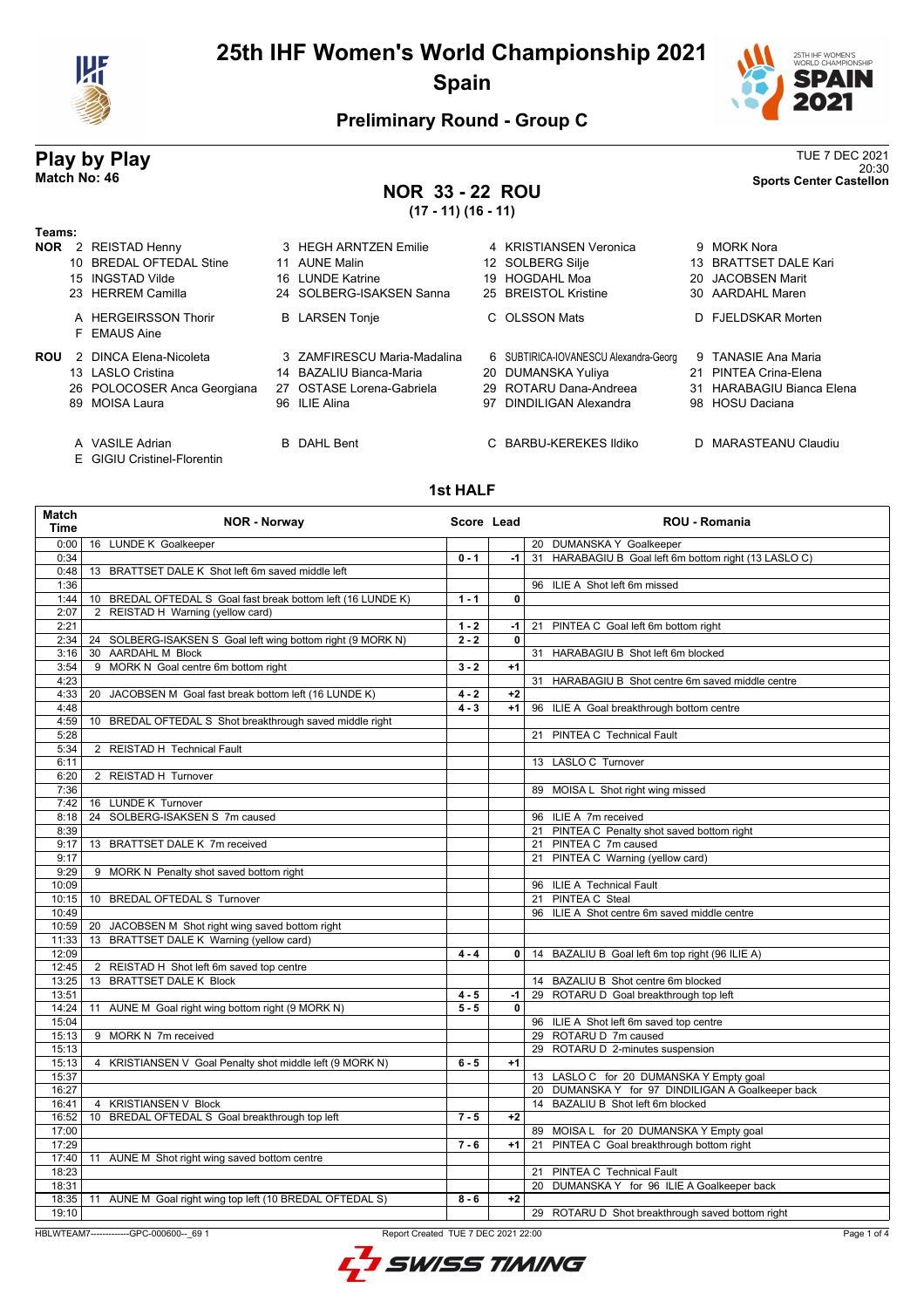



20:30 **Match No: 46 Sports Center Castellon**

### **Preliminary Round - Group C**

# **Play by Play**<br>Match No: 46<br>Sports Center Castellon

### **NOR 33 - 22 ROU**

**(17 - 11) (16 - 11)**

| Teams: |                                      |                             |                                       |    |                           |
|--------|--------------------------------------|-----------------------------|---------------------------------------|----|---------------------------|
|        | <b>NOR</b> 2 REISTAD Henny           | 3 HEGH ARNTZEN Emilie       | 4 KRISTIANSEN Veronica                |    | 9 MORK Nora               |
|        | 10 BREDAL OFTEDAL Stine              | 11 AUNE Malin               | 12 SOLBERG Silje                      |    | 13 BRATTSET DALE Kari     |
|        | 15 INGSTAD Vilde                     | 16 LUNDE Katrine            | 19 HOGDAHL Moa                        |    | 20 JACOBSEN Marit         |
|        | 23 HERREM Camilla                    | 24 SOLBERG-ISAKSEN Sanna    | 25 BREISTOL Kristine                  |    | 30 AARDAHL Maren          |
|        | A HERGEIRSSON Thorir<br>F EMAUS Aine | <b>B</b> LARSEN Tonje       | C OLSSON Mats                         |    | D FJELDSKAR Morten        |
| ROU    | 2 DINCA Elena-Nicoleta               | 3 ZAMFIRESCU Maria-Madalina | 6 SUBTIRICA-IOVANESCU Alexandra-Georg |    | 9 TANASIE Ana Maria       |
|        | 13 LASLO Cristina                    | 14 BAZALIU Bianca-Maria     | 20 DUMANSKA Yuliya                    | 21 | PINTEA Crina-Elena        |
|        | 26 POLOCOSER Anca Georgiana          | 27 OSTASE Lorena-Gabriela   | 29 ROTARU Dana-Andreea                |    | 31 HARABAGIU Bianca Elena |
|        | 89 MOISA Laura                       | 96 ILIE Alina               | 97 DINDILIGAN Alexandra               |    | 98 HOSU Daciana           |
|        | A VASILE Adrian                      | <b>B</b> DAHL Bent          | C BARBU-KEREKES Ildiko                |    | D MARASTEANU Claudiu      |

- 
- E GIGIU Cristinel-Florentin

#### **1st HALF**

| Match<br><b>Time</b> | <b>NOR - Norway</b>                                                            | Score Lead |              | ROU - Romania                                                                          |
|----------------------|--------------------------------------------------------------------------------|------------|--------------|----------------------------------------------------------------------------------------|
| 0:00                 | 16 LUNDE K Goalkeeper                                                          |            |              | 20 DUMANSKA Y Goalkeeper                                                               |
| 0:34                 |                                                                                | $0 - 1$    | -1 l         | 31 HARABAGIU B Goal left 6m bottom right (13 LASLO C)                                  |
| 0:48                 | 13 BRATTSET DALE K Shot left 6m saved middle left                              |            |              |                                                                                        |
| 1:36                 |                                                                                |            |              | 96 ILIE A Shot left 6m missed                                                          |
| 1:44                 | 10 BREDAL OFTEDAL S Goal fast break bottom left (16 LUNDE K)                   | $1 - 1$    | $\mathbf 0$  |                                                                                        |
| 2:07                 | 2 REISTAD H Warning (yellow card)                                              |            |              |                                                                                        |
| 2:21                 |                                                                                | $1 - 2$    | $-1$         | 21 PINTEA C Goal left 6m bottom right                                                  |
| 2:34                 | 24 SOLBERG-ISAKSEN S Goal left wing bottom right (9 MORK N)                    | $2 - 2$    | $\mathbf{0}$ |                                                                                        |
| 3:16                 | 30 AARDAHL M Block                                                             |            |              | 31 HARABAGIU B Shot left 6m blocked                                                    |
| 3:54                 | 9 MORK N Goal centre 6m bottom right                                           | $3 - 2$    | $+1$         |                                                                                        |
| 4:23                 |                                                                                |            |              | 31 HARABAGIU B Shot centre 6m saved middle centre                                      |
| 4:33                 | 20 JACOBSEN M Goal fast break bottom left (16 LUNDE K)                         | $4 - 2$    | $+2$         |                                                                                        |
| 4:48                 |                                                                                | $4 - 3$    | $+1$         | 96 ILIE A Goal breakthrough bottom centre                                              |
| 4:59                 | 10 BREDAL OFTEDAL S Shot breakthrough saved middle right                       |            |              |                                                                                        |
| 5:28                 |                                                                                |            |              | 21 PINTEA C Technical Fault                                                            |
| 5:34                 | 2 REISTAD H Technical Fault                                                    |            |              |                                                                                        |
| 6:11                 |                                                                                |            |              | 13 LASLO C Turnover                                                                    |
| 6:20                 | 2 REISTAD H Turnover                                                           |            |              |                                                                                        |
| 7:36                 |                                                                                |            |              | 89 MOISA L Shot right wing missed                                                      |
| 7:42                 | 16 LUNDE K Turnover                                                            |            |              |                                                                                        |
| 8:18                 | 24 SOLBERG-ISAKSEN S 7m caused                                                 |            |              | 96 ILIE A 7m received                                                                  |
| 8:39                 |                                                                                |            |              | 21 PINTEA C Penalty shot saved bottom right                                            |
| 9:17                 | 13 BRATTSET DALE K 7m received                                                 |            |              | 21 PINTEA C 7m caused                                                                  |
| 9:17                 |                                                                                |            |              | 21 PINTEA C Warning (yellow card)                                                      |
| 9:29                 | 9 MORK N Penalty shot saved bottom right                                       |            |              |                                                                                        |
| 10:09                |                                                                                |            |              | 96 ILIE A Technical Fault                                                              |
| 10:15                | 10 BREDAL OFTEDAL S Turnover                                                   |            |              | 21 PINTEA C Steal                                                                      |
| 10:49                |                                                                                |            |              | 96 ILIE A Shot centre 6m saved middle centre                                           |
| 10:59                | 20 JACOBSEN M Shot right wing saved bottom right                               |            |              |                                                                                        |
| 11:33                | 13 BRATTSET DALE K Warning (yellow card)                                       |            |              |                                                                                        |
| 12:09                |                                                                                | $4 - 4$    | $\mathbf{0}$ | 14 BAZALIU B Goal left 6m top right (96 ILIE A)                                        |
| 12:45                | 2 REISTAD H Shot left 6m saved top centre                                      |            |              |                                                                                        |
| 13:25                | 13 BRATTSET DALE K Block                                                       |            |              | 14 BAZALIU B Shot centre 6m blocked                                                    |
| 13:51                |                                                                                | $4 - 5$    | $-1$         | 29 ROTARU D Goal breakthrough top left                                                 |
| 14:24                | 11 AUNE M Goal right wing bottom right (9 MORK N)                              | $5 - 5$    | 0            |                                                                                        |
| 15:04                |                                                                                |            |              | 96 ILIE A Shot left 6m saved top centre                                                |
| 15:13                | 9 MORK N 7m received                                                           |            |              | 29 ROTARU D 7m caused                                                                  |
| 15:13                |                                                                                |            |              | 29 ROTARU D 2-minutes suspension                                                       |
| 15:13                | 4 KRISTIANSEN V Goal Penalty shot middle left (9 MORK N)                       | $6 - 5$    | $+1$         |                                                                                        |
| 15:37                |                                                                                |            |              |                                                                                        |
|                      |                                                                                |            |              | 13 LASLO C for 20 DUMANSKA Y Empty goal                                                |
| 16:27                |                                                                                |            |              | 20 DUMANSKA Y for 97 DINDILIGAN A Goalkeeper back<br>14 BAZALIU B Shot left 6m blocked |
| 16:41                | 4 KRISTIANSEN V Block                                                          |            |              |                                                                                        |
| 16:52                | 10 BREDAL OFTEDAL S Goal breakthrough top left                                 | $7 - 5$    | $+2$         |                                                                                        |
| 17:00                |                                                                                |            |              | 89 MOISA L for 20 DUMANSKA Y Empty goal                                                |
| 17:29                |                                                                                | $7 - 6$    | $+1$         | 21 PINTEA C Goal breakthrough bottom right                                             |
| 17:40                | 11 AUNE M Shot right wing saved bottom centre                                  |            |              |                                                                                        |
| 18:23                |                                                                                |            |              | 21 PINTEA C Technical Fault                                                            |
| 18:31                |                                                                                |            |              | 20 DUMANSKA Y for 96 ILIE A Goalkeeper back                                            |
|                      | 18:35   11 AUNE M Goal right wing top left (10 BREDAL OFTEDAL S)               | $8 - 6$    | $+2$         |                                                                                        |
| 19:10                |                                                                                |            |              | 29 ROTARU D Shot breakthrough saved bottom right                                       |
|                      | HBLWTEAM7-------------GPC-000600-- 69 1<br>Report Created TUE 7 DEC 2021 22:00 |            |              | Page 1 of 4                                                                            |

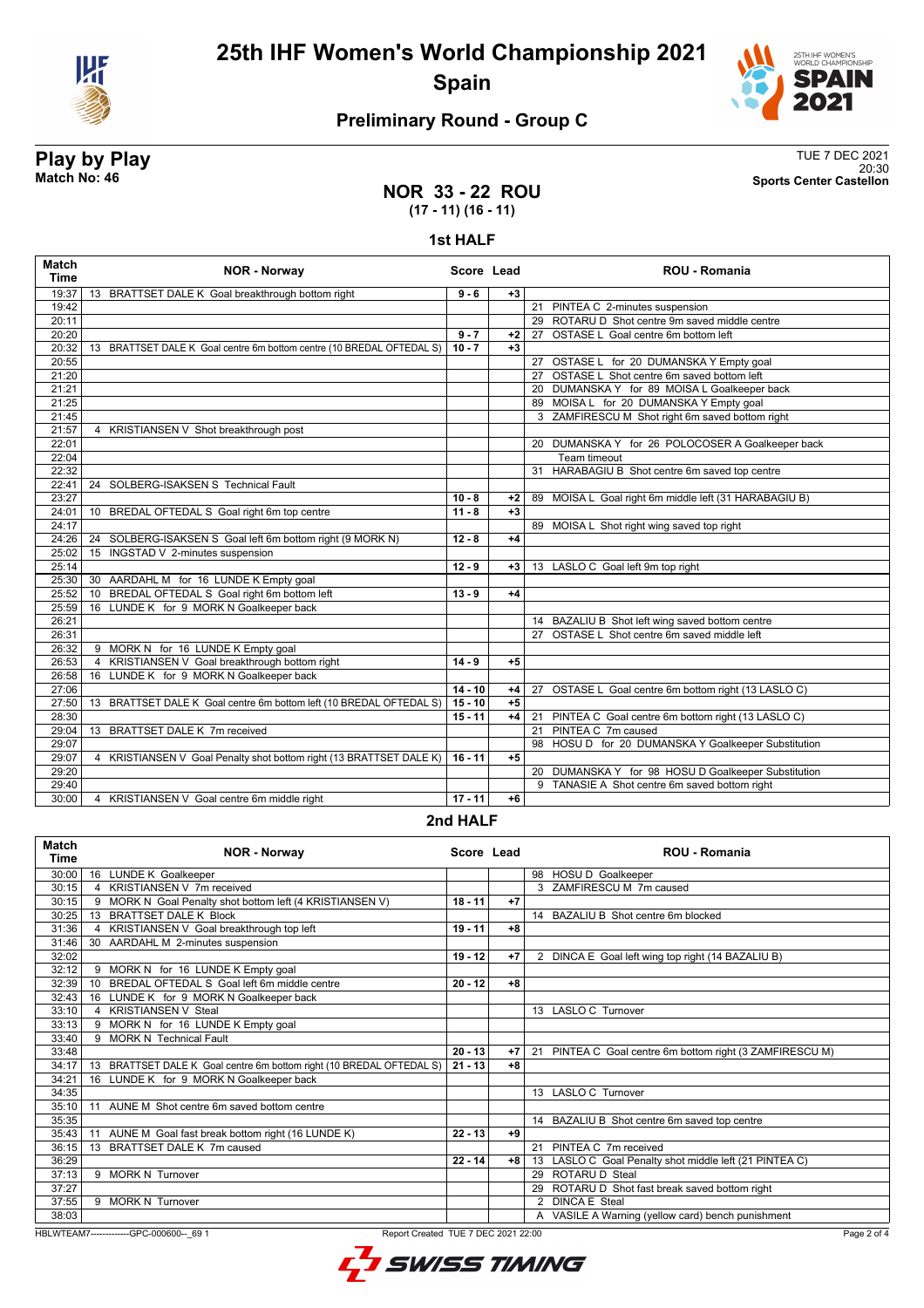



### **Preliminary Round - Group C**

**Play by Play**<br>Match No: 46<br>Sports Center Castellon 20:30 **Match No: 46 Sports Center Castellon**

### **NOR 33 - 22 ROU (17 - 11) (16 - 11)**

#### **1st HALF**

| Match<br><b>Time</b> | <b>NOR - Norway</b>                                                   | Score Lead    |      | <b>ROU - Romania</b>                                  |
|----------------------|-----------------------------------------------------------------------|---------------|------|-------------------------------------------------------|
| 19:37                | 13 BRATTSET DALE K Goal breakthrough bottom right                     | $9 - 6$       | $+3$ |                                                       |
| 19:42                |                                                                       |               |      | 21 PINTEA C 2-minutes suspension                      |
| 20:11                |                                                                       |               |      | 29 ROTARU D Shot centre 9m saved middle centre        |
| 20:20                |                                                                       | $9 - 7$       | $+2$ | 27 OSTASE L Goal centre 6m bottom left                |
| 20:32                | 13 BRATTSET DALE K Goal centre 6m bottom centre (10 BREDAL OFTEDAL S) | $10 - 7$      | $+3$ |                                                       |
| 20:55                |                                                                       |               |      | 27 OSTASE L for 20 DUMANSKA Y Empty goal              |
| 21:20                |                                                                       |               |      | 27 OSTASE L Shot centre 6m saved bottom left          |
| 21:21                |                                                                       |               |      | 20 DUMANSKA Y for 89 MOISA L Goalkeeper back          |
| 21:25                |                                                                       |               |      | 89 MOISA L for 20 DUMANSKA Y Empty goal               |
| 21:45                |                                                                       |               |      | 3 ZAMFIRESCU M Shot right 6m saved bottom right       |
| 21:57                | 4 KRISTIANSEN V Shot breakthrough post                                |               |      |                                                       |
| 22:01                |                                                                       |               |      | 20 DUMANSKA Y for 26 POLOCOSER A Goalkeeper back      |
| 22:04                |                                                                       |               |      | Team timeout                                          |
| 22:32                |                                                                       |               |      | 31 HARABAGIU B Shot centre 6m saved top centre        |
| 22:41                | 24 SOLBERG-ISAKSEN S Technical Fault                                  |               |      |                                                       |
| 23:27                |                                                                       | $10 - 8$      | $+2$ | 89 MOISA L Goal right 6m middle left (31 HARABAGIU B) |
| 24:01                | 10 BREDAL OFTEDAL S Goal right 6m top centre                          | $11 - 8$      | $+3$ |                                                       |
| 24:17                |                                                                       |               |      | 89 MOISA L Shot right wing saved top right            |
| 24:26                | 24 SOLBERG-ISAKSEN S Goal left 6m bottom right (9 MORK N)             | $12 - 8$      | $+4$ |                                                       |
| 25:02                | 15 INGSTAD V 2-minutes suspension                                     |               |      |                                                       |
| 25:14                |                                                                       | $12 - 9$      | $+3$ | 13 LASLO C Goal left 9m top right                     |
| 25:30                | 30 AARDAHL M for 16 LUNDE K Empty goal                                |               |      |                                                       |
| 25:52                | BREDAL OFTEDAL S Goal right 6m bottom left<br>10                      | $13 - 9$      | $+4$ |                                                       |
| 25:59                | 16 LUNDE K for 9 MORK N Goalkeeper back                               |               |      |                                                       |
| 26:21                |                                                                       |               |      | 14 BAZALIU B Shot left wing saved bottom centre       |
| 26:31                |                                                                       |               |      | 27 OSTASE L Shot centre 6m saved middle left          |
| 26:32                | 9 MORK N for 16 LUNDE K Empty goal                                    |               |      |                                                       |
| 26:53                | KRISTIANSEN V Goal breakthrough bottom right<br>$\overline{4}$        | $14 - 9$      | $+5$ |                                                       |
| 26:58                | 16 LUNDE K for 9 MORK N Goalkeeper back                               |               |      |                                                       |
| 27:06                |                                                                       | $14 - 10$     | $+4$ | 27 OSTASE L Goal centre 6m bottom right (13 LASLO C)  |
| 27:50                | 13 BRATTSET DALE K Goal centre 6m bottom left (10 BREDAL OFTEDAL S)   | $15 - 10$     | $+5$ |                                                       |
| 28:30                |                                                                       | $15 - 11$     | $+4$ | 21 PINTEA C Goal centre 6m bottom right (13 LASLO C)  |
| 29:04                | 13 BRATTSET DALE K 7m received                                        |               |      | 21 PINTEA C 7m caused                                 |
| 29:07                |                                                                       |               |      | 98 HOSU D for 20 DUMANSKA Y Goalkeeper Substitution   |
| 29:07                | 4 KRISTIANSEN V Goal Penalty shot bottom right (13 BRATTSET DALE K)   | $16 - 11$     | $+5$ |                                                       |
| 29:20                |                                                                       |               |      | 20 DUMANSKA Y for 98 HOSU D Goalkeeper Substitution   |
| 29:40                |                                                                       |               |      | 9 TANASIE A Shot centre 6m saved bottom right         |
| 30:00                | 4 KRISTIANSEN V Goal centre 6m middle right                           | $17 - 11$     | $+6$ |                                                       |
|                      |                                                                       | $2nd$ UAI $E$ |      |                                                       |

#### **2nd HALF**

| Match<br><b>Time</b> | <b>NOR - Norway</b>                                                  | Score Lead |      | <b>ROU - Romania</b>                                     |
|----------------------|----------------------------------------------------------------------|------------|------|----------------------------------------------------------|
| 30:00                | 16 LUNDE K Goalkeeper                                                |            |      | 98 HOSU D Goalkeeper                                     |
| 30:15                | 4 KRISTIANSEN V 7m received                                          |            |      | 3 ZAMFIRESCU M 7m caused                                 |
| 30:15                | 9 MORK N Goal Penalty shot bottom left (4 KRISTIANSEN V)             | 18 - 11    | $+7$ |                                                          |
| 30:25                | <b>BRATTSET DALE K Block</b><br>13                                   |            |      | 14 BAZALIU B Shot centre 6m blocked                      |
| 31:36                | KRISTIANSEN V Goal breakthrough top left<br>4                        | $19 - 11$  | $+8$ |                                                          |
| 31:46                | 30 AARDAHL M 2-minutes suspension                                    |            |      |                                                          |
| 32:02                |                                                                      | $19 - 12$  | $+7$ | 2 DINCA E Goal left wing top right (14 BAZALIU B)        |
| 32:12                | 9 MORK N for 16 LUNDE K Empty goal                                   |            |      |                                                          |
| 32:39                | BREDAL OFTEDAL S Goal left 6m middle centre<br>10                    | $20 - 12$  | $+8$ |                                                          |
| 32:43                | LUNDE K for 9 MORK N Goalkeeper back<br>16                           |            |      |                                                          |
| 33:10                | 4 KRISTIANSEN V Steal                                                |            |      | 13 LASLO C Turnover                                      |
| 33:13                | 9 MORK N for 16 LUNDE K Empty goal                                   |            |      |                                                          |
| 33:40                | 9 MORK N Technical Fault                                             |            |      |                                                          |
| 33:48                |                                                                      | $20 - 13$  | $+7$ | 21 PINTEA C Goal centre 6m bottom right (3 ZAMFIRESCU M) |
| 34:17                | 13 BRATTSET DALE K Goal centre 6m bottom right (10 BREDAL OFTEDAL S) | $21 - 13$  | $+8$ |                                                          |
| 34:21                | 16 LUNDE K for 9 MORK N Goalkeeper back                              |            |      |                                                          |
| 34:35                |                                                                      |            |      | 13 LASLO C Turnover                                      |
| 35:10                | AUNE M Shot centre 6m saved bottom centre<br>11                      |            |      |                                                          |
| 35:35                |                                                                      |            |      | 14 BAZALIU B Shot centre 6m saved top centre             |
| 35:43                | AUNE M Goal fast break bottom right (16 LUNDE K)<br>11               | $22 - 13$  | +9   |                                                          |
| 36:15                | BRATTSET DALE K 7m caused<br>13                                      |            |      | 21 PINTEA C 7m received                                  |
| 36:29                |                                                                      | $22 - 14$  | $+8$ | 13 LASLO C Goal Penalty shot middle left (21 PINTEA C)   |
| 37:13                | 9 MORK N Turnover                                                    |            |      | 29 ROTARU D Steal                                        |
| 37:27                |                                                                      |            |      | ROTARU D Shot fast break saved bottom right              |
| 37:55                | 9 MORK N Turnover                                                    |            |      | <b>DINCA E Steal</b><br>$\mathcal{P}$                    |
| 38:03                |                                                                      |            |      | A VASILE A Warning (yellow card) bench punishment        |

HBLWTEAM7-------------GPC-000600--\_69 1 Report Created TUE 7 DEC 2021 22:00

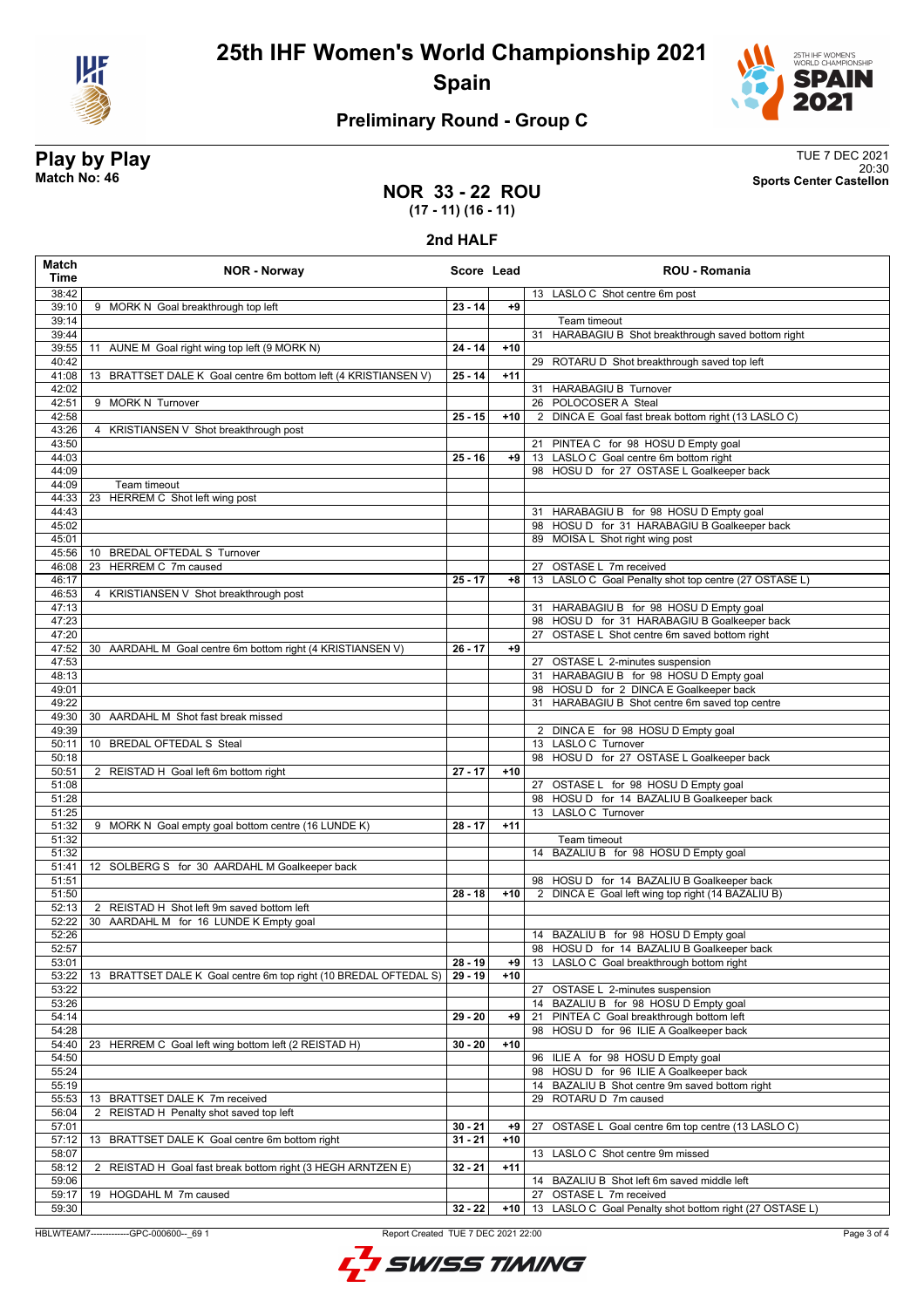



### **Preliminary Round - Group C**

**Play by Play**<br>Match No: 46<br>Sports Center Castellon 20:30 **Match No: 46 Sports Center Castellon**

### **NOR 33 - 22 ROU (17 - 11) (16 - 11)**

#### **2nd HALF**

| Match<br>Time      | <b>NOR - Norway</b>                                               | Score Lead |       | <b>ROU - Romania</b>                                              |
|--------------------|-------------------------------------------------------------------|------------|-------|-------------------------------------------------------------------|
| 38:42              |                                                                   |            |       | 13 LASLO C Shot centre 6m post                                    |
| 39:10              | 9 MORK N Goal breakthrough top left                               | $23 - 14$  | +9    |                                                                   |
| 39:14              |                                                                   |            |       | Team timeout                                                      |
| 39:44              |                                                                   |            |       | 31 HARABAGIU B Shot breakthrough saved bottom right               |
| 39:55              | AUNE M Goal right wing top left (9 MORK N)<br>11                  | $24 - 14$  | $+10$ |                                                                   |
| 40:42<br>41:08     | 13 BRATTSET DALE K Goal centre 6m bottom left (4 KRISTIANSEN V)   | $25 - 14$  | $+11$ | 29 ROTARU D Shot breakthrough saved top left                      |
| 42:02              |                                                                   |            |       | 31 HARABAGIU B Turnover                                           |
| 42:51              | 9 MORK N Turnover                                                 |            |       | 26 POLOCOSER A Steal                                              |
| 42:58              |                                                                   | $25 - 15$  | $+10$ | 2 DINCA E Goal fast break bottom right (13 LASLO C)               |
| 43:26              | 4 KRISTIANSEN V Shot breakthrough post                            |            |       |                                                                   |
| 43:50              |                                                                   |            |       | 21 PINTEA C for 98 HOSU D Empty goal                              |
| 44:03              |                                                                   | $25 - 16$  | +9    | 13 LASLO C Goal centre 6m bottom right                            |
| 44:09<br>44:09     | Team timeout                                                      |            |       | 98 HOSU D for 27 OSTASE L Goalkeeper back                         |
| 44:33              | 23 HERREM C Shot left wing post                                   |            |       |                                                                   |
| 44:43              |                                                                   |            |       | 31 HARABAGIU B for 98 HOSU D Empty goal                           |
| 45:02              |                                                                   |            |       | 98 HOSU D for 31 HARABAGIU B Goalkeeper back                      |
| 45:01              |                                                                   |            |       | 89 MOISA L Shot right wing post                                   |
| 45:56              | 10 BREDAL OFTEDAL S Turnover                                      |            |       |                                                                   |
| 46:08              | 23 HERREM C 7m caused                                             |            |       | 27 OSTASE L 7m received                                           |
| 46:17              |                                                                   | $25 - 17$  | $+8$  | 13 LASLO C Goal Penalty shot top centre (27 OSTASE L)             |
| 46:53<br>47:13     | 4 KRISTIANSEN V Shot breakthrough post                            |            |       | 31 HARABAGIU B for 98 HOSU D Empty goal                           |
| 47:23              |                                                                   |            |       | 98 HOSU D for 31 HARABAGIU B Goalkeeper back                      |
| 47:20              |                                                                   |            |       | 27 OSTASE L Shot centre 6m saved bottom right                     |
| 47:52              | 30 AARDAHL M Goal centre 6m bottom right (4 KRISTIANSEN V)        | $26 - 17$  | $+9$  |                                                                   |
| 47:53              |                                                                   |            |       | 27 OSTASE L 2-minutes suspension                                  |
| 48:13              |                                                                   |            |       | 31 HARABAGIU B for 98 HOSU D Empty goal                           |
| 49:01              |                                                                   |            |       | 98 HOSU D for 2 DINCA E Goalkeeper back                           |
| 49:22<br>49:30     | 30 AARDAHL M Shot fast break missed                               |            |       | 31 HARABAGIU B Shot centre 6m saved top centre                    |
| 49:39              |                                                                   |            |       | 2 DINCA E for 98 HOSU D Empty goal                                |
| 50:11              | 10 BREDAL OFTEDAL S Steal                                         |            |       | 13 LASLO C Turnover                                               |
| 50:18              |                                                                   |            |       | 98 HOSU D for 27 OSTASE L Goalkeeper back                         |
| 50:51              | 2 REISTAD H Goal left 6m bottom right                             | $27 - 17$  | $+10$ |                                                                   |
| 51:08              |                                                                   |            |       | 27 OSTASE L for 98 HOSU D Empty goal                              |
| 51:28              |                                                                   |            |       | 98 HOSU D for 14 BAZALIU B Goalkeeper back                        |
| 51:25              | 9 MORK N Goal empty goal bottom centre (16 LUNDE K)               | $28 - 17$  | $+11$ | 13 LASLO C Turnover                                               |
| 51:32<br>51:32     |                                                                   |            |       | Team timeout                                                      |
| 51:32              |                                                                   |            |       | 14 BAZALIU B for 98 HOSU D Empty goal                             |
| 51:41              | 12 SOLBERG S for 30 AARDAHL M Goalkeeper back                     |            |       |                                                                   |
| 51:51              |                                                                   |            |       | 98 HOSU D for 14 BAZALIU B Goalkeeper back                        |
| 51:50              |                                                                   | $28 - 18$  | $+10$ | DINCA E Goal left wing top right (14 BAZALIU B)<br>$\overline{2}$ |
| 52:13              | 2 REISTAD H Shot left 9m saved bottom left                        |            |       |                                                                   |
| 52:22<br>52:26     | AARDAHL M for 16 LUNDE K Empty goal<br>30                         |            |       | 14 BAZALIU B for 98 HOSU D Empty goal                             |
| 52:57              |                                                                   |            |       | 98 HOSU D for 14 BAZALIU B Goalkeeper back                        |
| 53:01              |                                                                   | 28 - 19    | +9    | 13 LASLO C Goal breakthrough bottom right                         |
| 53:22              | 13 BRATTSET DALE K Goal centre 6m top right (10 BREDAL OFTEDAL S) | $29 - 19$  | $+10$ |                                                                   |
| 53:22              |                                                                   |            |       | 27<br>OSTASE L 2-minutes suspension                               |
| 53:26              |                                                                   |            |       | 14 BAZALIU B for 98 HOSU D Empty goal                             |
| $\overline{54:14}$ |                                                                   | $29 - 20$  | +9    | PINTEA C Goal breakthrough bottom left<br>21                      |
| 54:28              | 23 HERREM C Goal left wing bottom left (2 REISTAD H)              |            |       | 98 HOSU D for 96 ILIE A Goalkeeper back                           |
| 54:40<br>54:50     |                                                                   | $30 - 20$  | $+10$ | 96 ILIE A for 98 HOSU D Empty goal                                |
| 55:24              |                                                                   |            |       | 98 HOSU D for 96 ILIE A Goalkeeper back                           |
| 55:19              |                                                                   |            |       | 14 BAZALIU B Shot centre 9m saved bottom right                    |
| 55:53              | 13 BRATTSET DALE K 7m received                                    |            |       | ROTARU D 7m caused<br>29                                          |
| 56:04              | 2<br>REISTAD H Penalty shot saved top left                        |            |       |                                                                   |
| 57:01              |                                                                   | $30 - 21$  | +9    | OSTASE L Goal centre 6m top centre (13 LASLO C)<br>27             |
| 57:12              | BRATTSET DALE K Goal centre 6m bottom right<br>13                 | $31 - 21$  | $+10$ |                                                                   |
| 58:07<br>58:12     | 2 REISTAD H Goal fast break bottom right (3 HEGH ARNTZEN E)       | $32 - 21$  | $+11$ | LASLO C Shot centre 9m missed<br>13                               |
| 59:06              |                                                                   |            |       | 14 BAZALIU B Shot left 6m saved middle left                       |
| 59:17              | 19 HOGDAHL M 7m caused                                            |            |       | OSTASE L 7m received<br>27                                        |
| 59:30              |                                                                   | $32 - 22$  | +10   | 13 LASLO C Goal Penalty shot bottom right (27 OSTASE L)           |